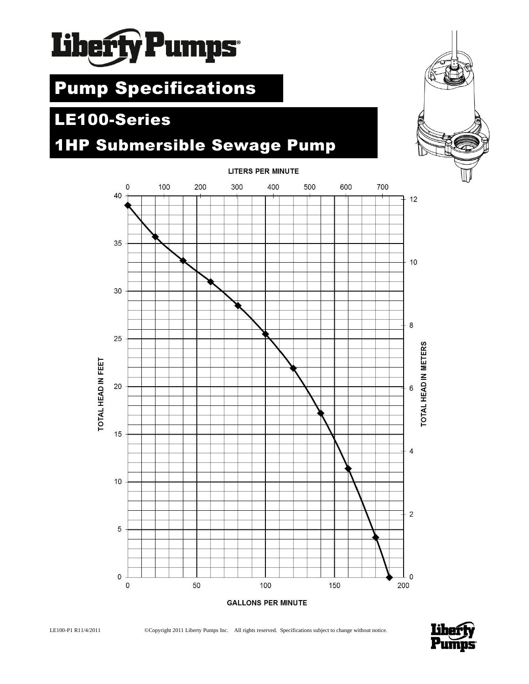

# Pump Specifications

## **<sup>c</sup>**LE100-Series

## 1HP Submersible Sewage Pump



### **LITERS PER MINUTE**



LE100-P1 R11/4/2011 ©Copyright 2011 Liberty Pumps Inc. All rights reserved. Specifications subject to change without notice.

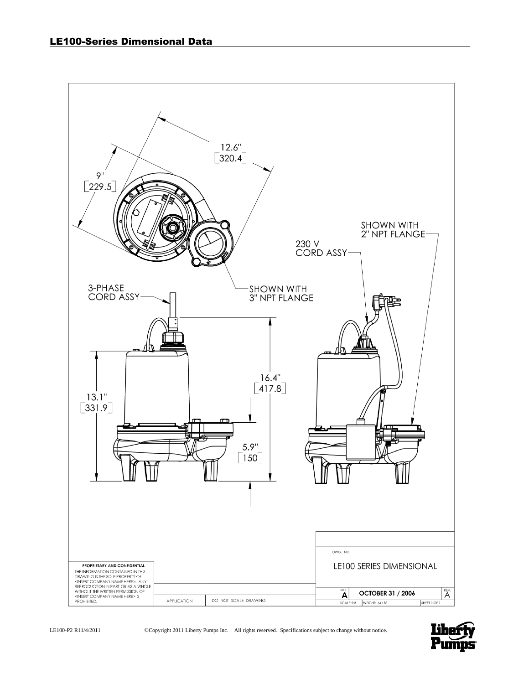

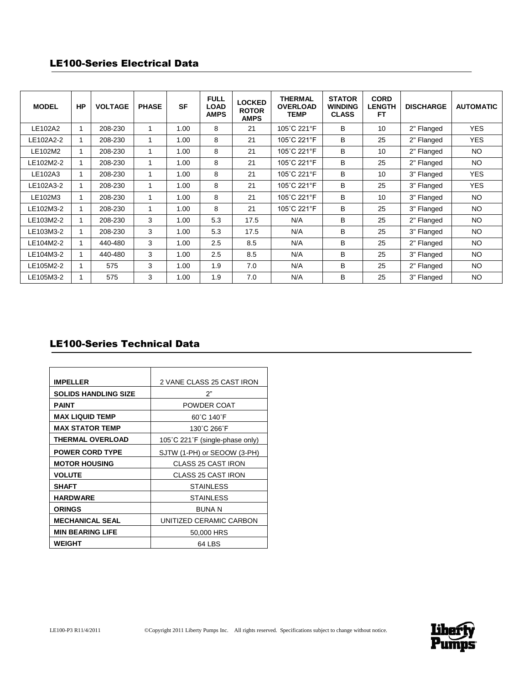### LE100-Series Electrical Data

| <b>MODEL</b> | <b>HP</b> | <b>VOLTAGE</b> | <b>PHASE</b> | <b>SF</b> | <b>FULL</b><br><b>LOAD</b><br><b>AMPS</b> | <b>LOCKED</b><br><b>ROTOR</b><br><b>AMPS</b> | <b>THERMAL</b><br><b>OVERLOAD</b><br>TEMP | <b>STATOR</b><br><b>WINDING</b><br><b>CLASS</b> | <b>CORD</b><br><b>LENGTH</b><br>FT. | <b>DISCHARGE</b> | <b>AUTOMATIC</b> |
|--------------|-----------|----------------|--------------|-----------|-------------------------------------------|----------------------------------------------|-------------------------------------------|-------------------------------------------------|-------------------------------------|------------------|------------------|
| LE102A2      |           | 208-230        | 1            | 1.00      | 8                                         | 21                                           | 105°C 221°F                               | B                                               | 10                                  | 2" Flanged       | <b>YES</b>       |
| LE102A2-2    |           | 208-230        | 1            | 1.00      | 8                                         | 21                                           | 105°C 221°F                               | B                                               | 25                                  | 2" Flanged       | <b>YES</b>       |
| LE102M2      |           | 208-230        | 1            | 1.00      | 8                                         | 21                                           | 105°C 221°F                               | В                                               | 10 <sup>°</sup>                     | 2" Flanged       | NO.              |
| LE102M2-2    |           | 208-230        | 1            | 1.00      | 8                                         | 21                                           | 105°C 221°F                               | B                                               | 25                                  | 2" Flanged       | NO.              |
| LE102A3      |           | 208-230        | 1            | 1.00      | 8                                         | 21                                           | 105°C 221°F                               | В                                               | 10                                  | 3" Flanged       | <b>YES</b>       |
| LE102A3-2    |           | 208-230        | 1            | 1.00      | 8                                         | 21                                           | 105°C 221°F                               | В                                               | 25                                  | 3" Flanged       | <b>YES</b>       |
| LE102M3      |           | 208-230        | 1            | 1.00      | 8                                         | 21                                           | 105°C 221°F                               | B                                               | 10                                  | 3" Flanged       | NO.              |
| LE102M3-2    |           | 208-230        | 1            | 1.00      | 8                                         | 21                                           | 105°C 221°F                               | B                                               | 25                                  | 3" Flanged       | NO.              |
| LE103M2-2    |           | 208-230        | 3            | 1.00      | 5.3                                       | 17.5                                         | N/A                                       | B                                               | 25                                  | 2" Flanged       | <b>NO</b>        |
| LE103M3-2    |           | 208-230        | 3            | 1.00      | 5.3                                       | 17.5                                         | N/A                                       | B                                               | 25                                  | 3" Flanged       | NO.              |
| LE104M2-2    |           | 440-480        | 3            | 1.00      | 2.5                                       | 8.5                                          | N/A                                       | В                                               | 25                                  | 2" Flanged       | NO.              |
| LE104M3-2    |           | 440-480        | 3            | 1.00      | 2.5                                       | 8.5                                          | N/A                                       | B                                               | 25                                  | 3" Flanged       | NO.              |
| LE105M2-2    |           | 575            | 3            | 1.00      | 1.9                                       | 7.0                                          | N/A                                       | B                                               | 25                                  | 2" Flanged       | NO.              |
| LE105M3-2    |           | 575            | 3            | 1.00      | 1.9                                       | 7.0                                          | N/A                                       | В                                               | 25                                  | 3" Flanged       | <b>NO</b>        |

## LE100-Series Technical Data

| <b>IMPELLER</b>             | 2 VANE CLASS 25 CAST IRON       |
|-----------------------------|---------------------------------|
| <b>SOLIDS HANDLING SIZE</b> | 2"                              |
| <b>PAINT</b>                | POWDER COAT                     |
| <b>MAX LIQUID TEMP</b>      | 60°C 140°F                      |
| <b>MAX STATOR TEMP</b>      | 130°C 266°F                     |
| <b>THERMAL OVERLOAD</b>     | 105°C 221°F (single-phase only) |
| <b>POWER CORD TYPE</b>      | SJTW (1-PH) or SEOOW (3-PH)     |
| <b>MOTOR HOUSING</b>        | CLASS 25 CAST IRON              |
| <b>VOLUTE</b>               | <b>CLASS 25 CAST IRON</b>       |
| <b>SHAFT</b>                | <b>STAINLESS</b>                |
| <b>HARDWARE</b>             | <b>STAINLESS</b>                |
| <b>ORINGS</b>               | <b>BUNA N</b>                   |
| <b>MECHANICAL SEAL</b>      | UNITIZED CERAMIC CARBON         |
| <b>MIN BEARING LIFE</b>     | 50,000 HRS                      |
| <b>WEIGHT</b>               | 64 LBS                          |

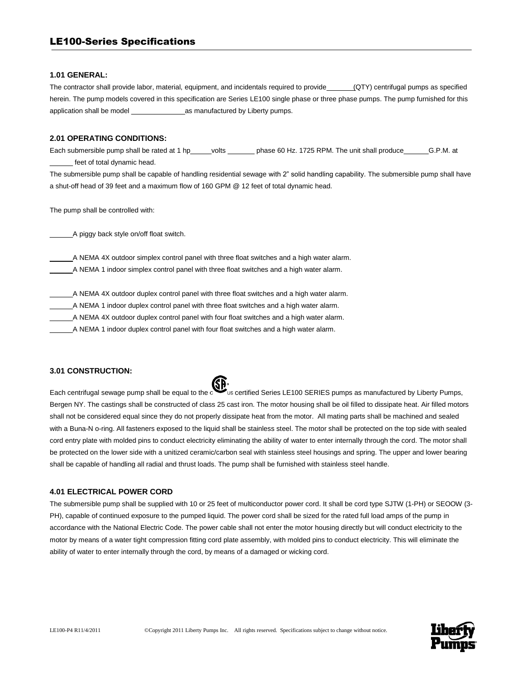#### **1.01 GENERAL:**

The contractor shall provide labor, material, equipment, and incidentals required to provide (QTY) centrifugal pumps as specified herein. The pump models covered in this specification are Series LE100 single phase or three phase pumps. The pump furnished for this application shall be model \_\_\_\_\_\_\_\_\_\_\_\_\_\_as manufactured by Liberty pumps.

#### **2.01 OPERATING CONDITIONS:**

Each submersible pump shall be rated at 1 hp\_\_\_\_\_ volts \_\_\_\_\_\_\_ phase 60 Hz. 1725 RPM. The unit shall produce \_\_\_\_\_\_ G.P.M. at feet of total dynamic head.

The submersible pump shall be capable of handling residential sewage with 2" solid handling capability. The submersible pump shall have a shut-off head of 39 feet and a maximum flow of 160 GPM @ 12 feet of total dynamic head.

The pump shall be controlled with:

\_\_\_\_\_\_A piggy back style on/off float switch.

\_\_\_\_\_\_A NEMA 4X outdoor simplex control panel with three float switches and a high water alarm. \_\_\_\_\_\_A NEMA 1 indoor simplex control panel with three float switches and a high water alarm.

\_\_\_\_\_\_A NEMA 4X outdoor duplex control panel with three float switches and a high water alarm.

\_\_\_\_\_\_A NEMA 1 indoor duplex control panel with three float switches and a high water alarm.

\_\_\_\_\_\_A NEMA 4X outdoor duplex control panel with four float switches and a high water alarm.

\_\_\_\_\_\_A NEMA 1 indoor duplex control panel with four float switches and a high water alarm.

#### **3.01 CONSTRUCTION:**

Each centrifugal sewage pump shall be equal to the contact us certified Series LE100 SERIES pumps as manufactured by Liberty Pumps, Bergen NY. The castings shall be constructed of class 25 cast iron. The motor housing shall be oil filled to dissipate heat. Air filled motors shall not be considered equal since they do not properly dissipate heat from the motor. All mating parts shall be machined and sealed with a Buna-N o-ring. All fasteners exposed to the liquid shall be stainless steel. The motor shall be protected on the top side with sealed cord entry plate with molded pins to conduct electricity eliminating the ability of water to enter internally through the cord. The motor shall be protected on the lower side with a unitized ceramic/carbon seal with stainless steel housings and spring. The upper and lower bearing shall be capable of handling all radial and thrust loads. The pump shall be furnished with stainless steel handle.

#### **4.01 ELECTRICAL POWER CORD**

The submersible pump shall be supplied with 10 or 25 feet of multiconductor power cord. It shall be cord type SJTW (1-PH) or SEOOW (3- PH), capable of continued exposure to the pumped liquid. The power cord shall be sized for the rated full load amps of the pump in accordance with the National Electric Code. The power cable shall not enter the motor housing directly but will conduct electricity to the motor by means of a water tight compression fitting cord plate assembly, with molded pins to conduct electricity. This will eliminate the ability of water to enter internally through the cord, by means of a damaged or wicking cord.

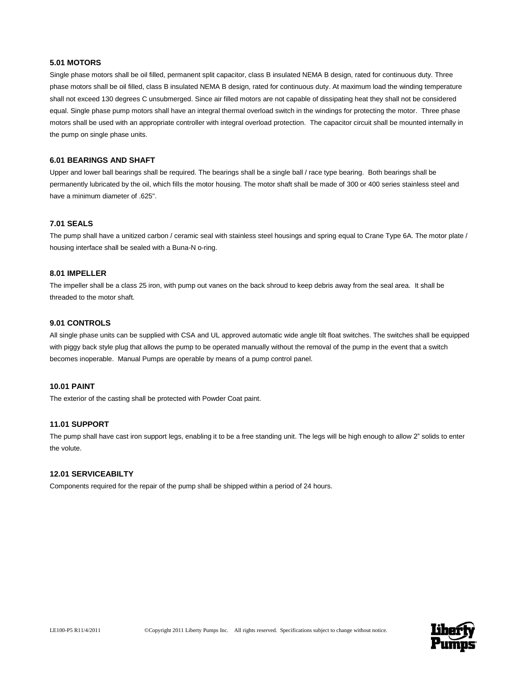#### **5.01 MOTORS**

Single phase motors shall be oil filled, permanent split capacitor, class B insulated NEMA B design, rated for continuous duty. Three phase motors shall be oil filled, class B insulated NEMA B design, rated for continuous duty. At maximum load the winding temperature shall not exceed 130 degrees C unsubmerged. Since air filled motors are not capable of dissipating heat they shall not be considered equal. Single phase pump motors shall have an integral thermal overload switch in the windings for protecting the motor. Three phase motors shall be used with an appropriate controller with integral overload protection. The capacitor circuit shall be mounted internally in the pump on single phase units.

#### **6.01 BEARINGS AND SHAFT**

Upper and lower ball bearings shall be required. The bearings shall be a single ball / race type bearing. Both bearings shall be permanently lubricated by the oil, which fills the motor housing. The motor shaft shall be made of 300 or 400 series stainless steel and have a minimum diameter of .625".

#### **7.01 SEALS**

The pump shall have a unitized carbon / ceramic seal with stainless steel housings and spring equal to Crane Type 6A. The motor plate / housing interface shall be sealed with a Buna-N o-ring.

#### **8.01 IMPELLER**

The impeller shall be a class 25 iron, with pump out vanes on the back shroud to keep debris away from the seal area. It shall be threaded to the motor shaft.

#### **9.01 CONTROLS**

All single phase units can be supplied with CSA and UL approved automatic wide angle tilt float switches. The switches shall be equipped with piggy back style plug that allows the pump to be operated manually without the removal of the pump in the event that a switch becomes inoperable. Manual Pumps are operable by means of a pump control panel.

#### **10.01 PAINT**

The exterior of the casting shall be protected with Powder Coat paint.

#### **11.01 SUPPORT**

The pump shall have cast iron support legs, enabling it to be a free standing unit. The legs will be high enough to allow 2" solids to enter the volute.

#### **12.01 SERVICEABILTY**

Components required for the repair of the pump shall be shipped within a period of 24 hours.